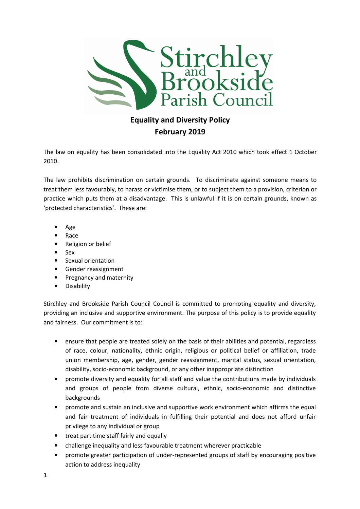

## Equality and Diversity Policy February 2019

The law on equality has been consolidated into the Equality Act 2010 which took effect 1 October 2010.

The law prohibits discrimination on certain grounds. To discriminate against someone means to treat them less favourably, to harass or victimise them, or to subject them to a provision, criterion or practice which puts them at a disadvantage. This is unlawful if it is on certain grounds, known as 'protected characteristics'. These are:

- Age
- Race
- Religion or belief
- Sex
- Sexual orientation
- Gender reassignment
- Pregnancy and maternity
- Disability

Stirchley and Brookside Parish Council Council is committed to promoting equality and diversity, providing an inclusive and supportive environment. The purpose of this policy is to provide equality and fairness. Our commitment is to:

- ensure that people are treated solely on the basis of their abilities and potential, regardless of race, colour, nationality, ethnic origin, religious or political belief or affiliation, trade union membership, age, gender, gender reassignment, marital status, sexual orientation, disability, socio-economic background, or any other inappropriate distinction
- promote diversity and equality for all staff and value the contributions made by individuals and groups of people from diverse cultural, ethnic, socio-economic and distinctive backgrounds
- promote and sustain an inclusive and supportive work environment which affirms the equal and fair treatment of individuals in fulfilling their potential and does not afford unfair privilege to any individual or group
- treat part time staff fairly and equally
- challenge inequality and less favourable treatment wherever practicable
- promote greater participation of under-represented groups of staff by encouraging positive action to address inequality